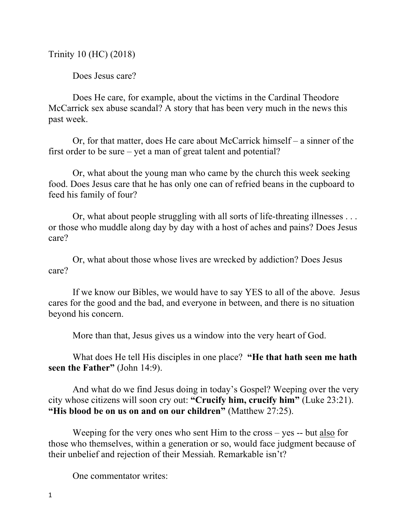Trinity 10 (HC) (2018)

Does Jesus care?

Does He care, for example, about the victims in the Cardinal Theodore McCarrick sex abuse scandal? A story that has been very much in the news this past week.

Or, for that matter, does He care about McCarrick himself – a sinner of the first order to be sure – yet a man of great talent and potential?

Or, what about the young man who came by the church this week seeking food. Does Jesus care that he has only one can of refried beans in the cupboard to feed his family of four?

Or, what about people struggling with all sorts of life-threating illnesses . . . or those who muddle along day by day with a host of aches and pains? Does Jesus care?

Or, what about those whose lives are wrecked by addiction? Does Jesus care?

If we know our Bibles, we would have to say YES to all of the above. Jesus cares for the good and the bad, and everyone in between, and there is no situation beyond his concern.

More than that, Jesus gives us a window into the very heart of God.

What does He tell His disciples in one place? **"He that hath seen me hath seen the Father"** (John 14:9).

And what do we find Jesus doing in today's Gospel? Weeping over the very city whose citizens will soon cry out: **"Crucify him, crucify him"** (Luke 23:21). **"His blood be on us on and on our children"** (Matthew 27:25).

Weeping for the very ones who sent Him to the cross – yes -- but also for those who themselves, within a generation or so, would face judgment because of their unbelief and rejection of their Messiah. Remarkable isn't?

One commentator writes: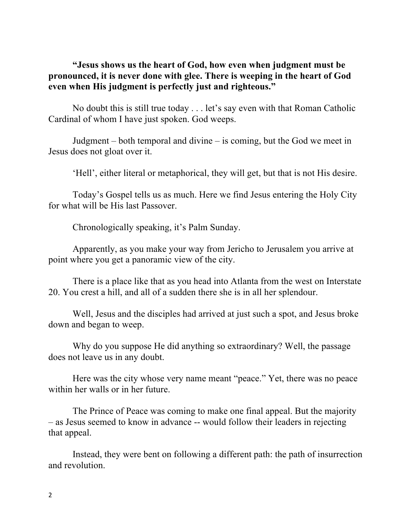## **"Jesus shows us the heart of God, how even when judgment must be pronounced, it is never done with glee. There is weeping in the heart of God even when His judgment is perfectly just and righteous."**

No doubt this is still true today . . . let's say even with that Roman Catholic Cardinal of whom I have just spoken. God weeps.

Judgment – both temporal and divine – is coming, but the God we meet in Jesus does not gloat over it.

'Hell', either literal or metaphorical, they will get, but that is not His desire.

Today's Gospel tells us as much. Here we find Jesus entering the Holy City for what will be His last Passover.

Chronologically speaking, it's Palm Sunday.

Apparently, as you make your way from Jericho to Jerusalem you arrive at point where you get a panoramic view of the city.

There is a place like that as you head into Atlanta from the west on Interstate 20. You crest a hill, and all of a sudden there she is in all her splendour.

Well, Jesus and the disciples had arrived at just such a spot, and Jesus broke down and began to weep.

Why do you suppose He did anything so extraordinary? Well, the passage does not leave us in any doubt.

Here was the city whose very name meant "peace." Yet, there was no peace within her walls or in her future.

The Prince of Peace was coming to make one final appeal. But the majority – as Jesus seemed to know in advance -- would follow their leaders in rejecting that appeal.

Instead, they were bent on following a different path: the path of insurrection and revolution.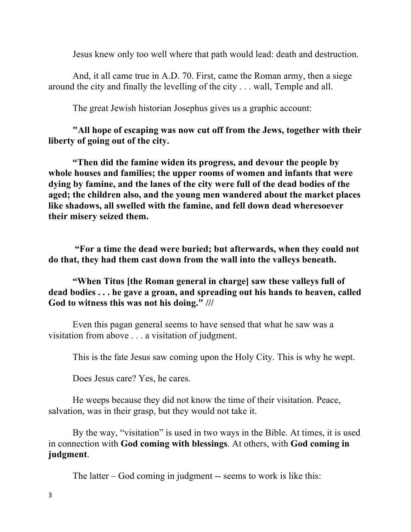Jesus knew only too well where that path would lead: death and destruction.

And, it all came true in A.D. 70. First, came the Roman army, then a siege around the city and finally the levelling of the city . . . wall, Temple and all.

The great Jewish historian Josephus gives us a graphic account:

**"All hope of escaping was now cut off from the Jews, together with their liberty of going out of the city.** 

**"Then did the famine widen its progress, and devour the people by whole houses and families; the upper rooms of women and infants that were dying by famine, and the lanes of the city were full of the dead bodies of the aged; the children also, and the young men wandered about the market places like shadows, all swelled with the famine, and fell down dead wheresoever their misery seized them.**

**"For a time the dead were buried; but afterwards, when they could not do that, they had them cast down from the wall into the valleys beneath.** 

**"When Titus [the Roman general in charge] saw these valleys full of dead bodies . . . he gave a groan, and spreading out his hands to heaven, called God to witness this was not his doing." ///**

Even this pagan general seems to have sensed that what he saw was a visitation from above . . . a visitation of judgment.

This is the fate Jesus saw coming upon the Holy City. This is why he wept.

Does Jesus care? Yes, he cares.

He weeps because they did not know the time of their visitation. Peace, salvation, was in their grasp, but they would not take it.

By the way, "visitation" is used in two ways in the Bible. At times, it is used in connection with **God coming with blessings**. At others, with **God coming in judgment**.

The latter – God coming in judgment -- seems to work is like this: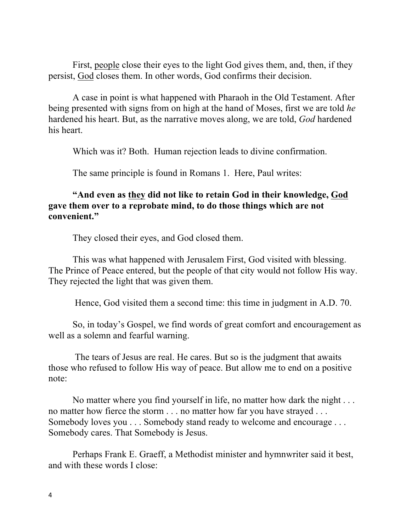First, people close their eyes to the light God gives them, and, then, if they persist, God closes them. In other words, God confirms their decision.

A case in point is what happened with Pharaoh in the Old Testament. After being presented with signs from on high at the hand of Moses, first we are told *he* hardened his heart. But, as the narrative moves along, we are told, *God* hardened his heart.

Which was it? Both. Human rejection leads to divine confirmation.

The same principle is found in Romans 1. Here, Paul writes:

## **"And even as they did not like to retain God in their knowledge, God gave them over to a reprobate mind, to do those things which are not convenient."**

They closed their eyes, and God closed them.

This was what happened with Jerusalem First, God visited with blessing. The Prince of Peace entered, but the people of that city would not follow His way. They rejected the light that was given them.

Hence, God visited them a second time: this time in judgment in A.D. 70.

So, in today's Gospel, we find words of great comfort and encouragement as well as a solemn and fearful warning.

The tears of Jesus are real. He cares. But so is the judgment that awaits those who refused to follow His way of peace. But allow me to end on a positive note:

No matter where you find yourself in life, no matter how dark the night . . . no matter how fierce the storm . . . no matter how far you have strayed . . . Somebody loves you . . . Somebody stand ready to welcome and encourage . . . Somebody cares. That Somebody is Jesus.

Perhaps Frank E. Graeff, a Methodist minister and hymnwriter said it best, and with these words I close: